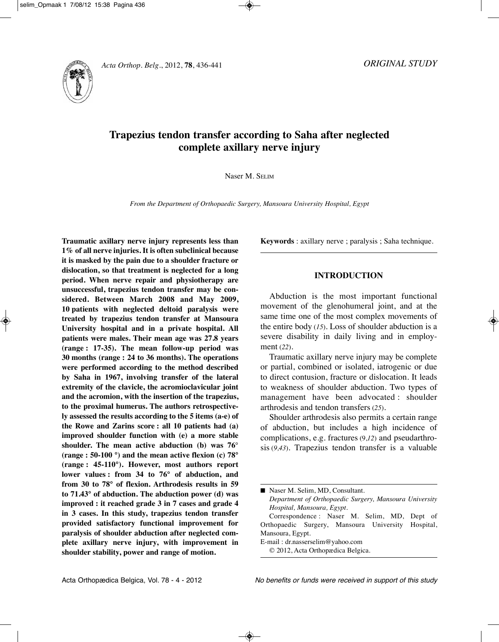



# **Trapezius tendon transfer according to Saha after neglected complete axillary nerve injury**

Naser M. SEliM

*From the Department of Orthopaedic Surgery, Mansoura University Hospital, Egypt*

**Traumatic axillary nerve injury represents less than 1% of all nerve injuries. It is often subclinical because it is masked by the pain due to a shoulder fracture or dislocation, so that treatment is neglected for a long period. When nerve repair and physiotherapy are unsuccessful, trapezius tendon transfer may be considered. Between March 2008 and May 2009, 10 patients with neglected deltoid paralysis were treated by trapezius tendon transfer at Mansoura University hospital and in a private hospital. All patients were males. Their mean age was 27.8 years (range : 17-35). The mean follow-up period was 30 months (range : 24 to 36 months). The operations were performed according to the method described by Saha in 1967, involving transfer of the lateral extremity of the clavicle, the acromioclavicular joint and the acromion, with the insertion of the trapezius, to the proximal humerus. The authors retrospectively assessed the results according to the 5 items (a-e) of the Rowe and Zarins score : all 10 patients had (a) improved shoulder function with (e) a more stable shoulder. The mean active abduction (b) was 76**° **(range : 50-100 °) and the mean active flexion (c) 78° (range : 45-110°). However, most authors report lower values : from 34 to 76° of abduction, and from 30 to 78° of flexion. Arthrodesis results in 59 to 71.43° of abduction. The abduction power (d) was improved : it reached grade 3 in 7 cases and grade 4 in 3 cases. In this study, trapezius tendon transfer provided satisfactory functional improvement for paralysis of shoulder abduction after neglected complete axillary nerve injury, with improvement in shoulder stability, power and range of motion.**

**Keywords** : axillary nerve ; paralysis ; Saha technique.

## **INTRODUCTION**

Abduction is the most important functional movement of the glenohumeral joint, and at the same time one of the most complex movements of the entire body (*15*). loss of shoulder abduction is a severe disability in daily living and in employment (*22*).

Traumatic axillary nerve injury may be complete or partial, combined or isolated, iatrogenic or due to direct contusion, fracture or dislocation. it leads to weakness of shoulder abduction. Two types of management have been advocated : shoulder arthrodesis and tendon transfers (*25*).

Shoulder arthrodesis also permits a certain range of abduction, but includes a high incidence of complications, e.g. fractures (9,*12*) and pseudarthrosis (*9,43*). Trapezius tendon transfer is a valuable

■ Naser M. Selim, MD, Consultant.

*Department of Orthopaedic Surgery, Mansoura University Hospital, Mansoura, Egypt.*

Correspondence : Naser M. Selim, MD, Dept of Orthopaedic Surgery, Mansoura University Hospital, Mansoura, Egypt.

E-mail : dr.nasserselim@yahoo.com

© 2012, Acta Orthopædica Belgica.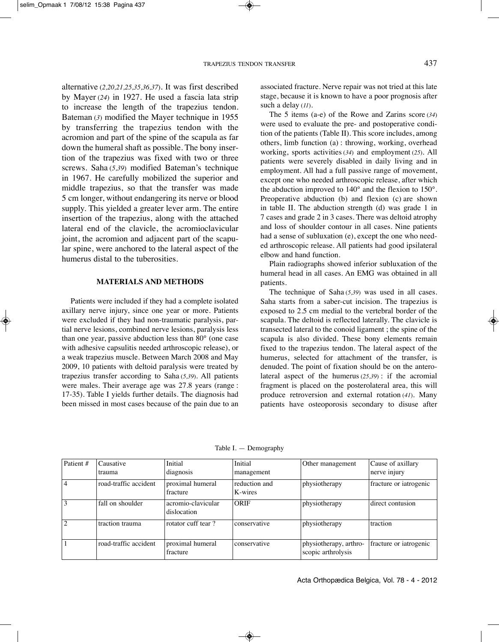alternative (*2,20,21,25,35,36,37*). it was first described by Mayer (*24*) in 1927. He used a fascia lata strip to increase the length of the trapezius tendon. Bateman (*3*) modified the Mayer technique in 1955 by transferring the trapezius tendon with the acromion and part of the spine of the scapula as far down the humeral shaft as possible. The bony insertion of the trapezius was fixed with two or three screws. Saha (*5,39*) modified Bateman's technique in 1967. He carefully mobilized the superior and middle trapezius, so that the transfer was made 5 cm longer, without endangering its nerve or blood supply. This yielded a greater lever arm. The entire insertion of the trapezius, along with the attached lateral end of the clavicle, the acromioclavicular joint, the acromion and adjacent part of the scapular spine, were anchored to the lateral aspect of the humerus distal to the tuberosities.

#### **MATERIALS AND METHODS**

Patients were included if they had a complete isolated axillary nerve injury, since one year or more. Patients were excluded if they had non-traumatic paralysis, partial nerve lesions, combined nerve lesions, paralysis less than one year, passive abduction less than 80° (one case with adhesive capsulitis needed arthroscopic release), or a weak trapezius muscle. Between March 2008 and May 2009, 10 patients with deltoid paralysis were treated by trapezius transfer according to Saha (*5,39*). All patients were males. Their average age was 27.8 years (range : 17-35). Table I yields further details. The diagnosis had been missed in most cases because of the pain due to an associated fracture. Nerve repair was not tried at this late stage, because it is known to have a poor prognosis after such a delay (*11*).

The 5 items (a-e) of the Rowe and Zarins score (*34*) were used to evaluate the pre- and postoperative condition of the patients (Table II). This score includes, among others, limb function (a) : throwing, working, overhead working, sports activities (*34*) and employment (*25*). All patients were severely disabled in daily living and in employment. All had a full passive range of movement, except one who needed arthroscopic release, after which the abduction improved to 140° and the flexion to 150°. Preoperative abduction (b) and flexion (c) are shown in table II. The abduction strength  $(d)$  was grade 1 in 7 cases and grade 2 in 3 cases. There was deltoid atrophy and loss of shoulder contour in all cases. Nine patients had a sense of subluxation (e), except the one who needed arthroscopic release. All patients had good ipsilateral elbow and hand function.

Plain radiographs showed inferior subluxation of the humeral head in all cases. An EMG was obtained in all patients.

The technique of Saha (*5,39*) was used in all cases. Saha starts from a saber-cut incision. The trapezius is exposed to 2.5 cm medial to the vertebral border of the scapula. The deltoid is reflected laterally. The clavicle is transected lateral to the conoid ligament ; the spine of the scapula is also divided. These bony elements remain fixed to the trapezius tendon. The lateral aspect of the humerus, selected for attachment of the transfer, is denuded. The point of fixation should be on the anterolateral aspect of the humerus (*25,39*) : if the acromial fragment is placed on the posterolateral area, this will produce retroversion and external rotation (*41*). Many patients have osteoporosis secondary to disuse after

| $\sqrt{\text{P}}$ atient # | Causative             | Initial                           | Initial                  | Other management                             | Cause of axillary      |
|----------------------------|-----------------------|-----------------------------------|--------------------------|----------------------------------------------|------------------------|
|                            | trauma                | diagnosis                         | management               |                                              | nerve injury           |
| 14                         | road-traffic accident | proximal humeral<br>fracture      | reduction and<br>K-wires | physiotherapy                                | fracture or iatrogenic |
| 13                         | fall on shoulder      | acromio-clavicular<br>dislocation | ORIF                     | physiotherapy                                | direct contusion       |
| 2                          | traction trauma       | rotator cuff tear?                | conservative             | physiotherapy                                | traction               |
|                            | road-traffic accident | proximal humeral<br>fracture      | conservative             | physiotherapy, arthro-<br>scopic arthrolysis | fracture or iatrogenic |

Table I. - Demography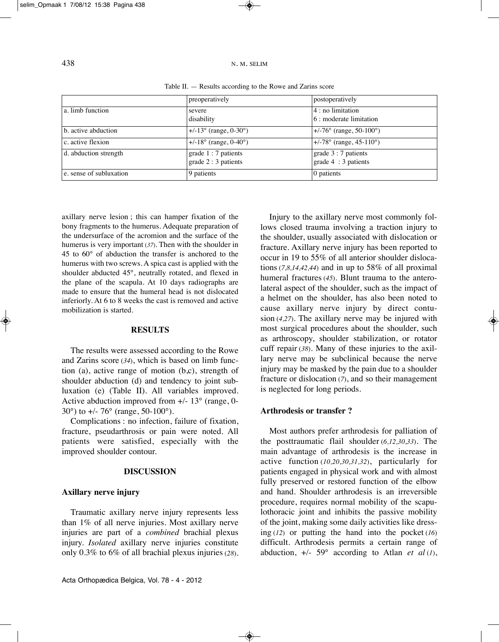## 438 N. M. SEliM

|                         | preoperatively                 | postoperatively                   |  |
|-------------------------|--------------------------------|-----------------------------------|--|
| a. limb function        | severe                         | 4 : no limitation                 |  |
|                         | disability                     | 6 : moderate limitation           |  |
| b. active abduction     | $+/-13^{\circ}$ (range, 0-30°) | $ +/-76^{\circ}$ (range, 50-100°) |  |
| c. active flexion       | $+/-18^{\circ}$ (range, 0-40°) | $ +/78^{\circ}$ (range, 45-110°)  |  |
| d. abduction strength   | grade $1:7$ patients           | grade $3:7$ patients              |  |
|                         | grade $2:3$ patients           | grade $4:3$ patients              |  |
| e. sense of subluxation | 9 patients                     | 0 patients                        |  |

Table II. — Results according to the Rowe and Zarins score

axillary nerve lesion ; this can hamper fixation of the bony fragments to the humerus. Adequate preparation of the undersurface of the acromion and the surface of the humerus is very important (*37*). Then with the shoulder in 45 to 60° of abduction the transfer is anchored to the humerus with two screws. A spica cast is applied with the shoulder abducted 45°, neutrally rotated, and flexed in the plane of the scapula. At 10 days radiographs are made to ensure that the humeral head is not dislocated inferiorly. At 6 to 8 weeks the cast is removed and active mobilization is started.

#### **RESULTS**

The results were assessed according to the Rowe and Zarins score (*34*), which is based on limb function (a), active range of motion (b,c), strength of shoulder abduction (d) and tendency to joint subluxation (e) (Table II). All variables improved. Active abduction improved from  $+/- 13^{\circ}$  (range, 0-30°) to +/- 76° (range, 50-100°).

Complications : no infection, failure of fixation, fracture, pseudarthrosis or pain were noted. All patients were satisfied, especially with the improved shoulder contour.

#### **DISCUSSION**

#### **Axillary nerve injury**

Traumatic axillary nerve injury represents less than 1% of all nerve injuries. Most axillary nerve injuries are part of a *combined* brachial plexus injury. *Isolated* axillary nerve injuries constitute only 0.3% to 6% of all brachial plexus injuries (*28*).

Injury to the axillary nerve most commonly follows closed trauma involving a traction injury to the shoulder, usually associated with dislocation or fracture. Axillary nerve injury has been reported to occur in 19 to 55% of all anterior shoulder dislocations (*7,8,14,42,44*) and in up to 58% of all proximal humeral fractures (*45*). Blunt trauma to the anterolateral aspect of the shoulder, such as the impact of a helmet on the shoulder, has also been noted to cause axillary nerve injury by direct contusion (*4,27*). The axillary nerve may be injured with most surgical procedures about the shoulder, such as arthroscopy, shoulder stabilization, or rotator cuff repair (*38*). Many of these injuries to the axillary nerve may be subclinical because the nerve injury may be masked by the pain due to a shoulder fracture or dislocation (*7*), and so their management is neglected for long periods.

### **Arthrodesis or transfer ?**

Most authors prefer arthrodesis for palliation of the posttraumatic flail shoulder (*6,12,30*,*33*). The main advantage of arthrodesis is the increase in active function (*10,20,30,31,32*), particularly for patients engaged in physical work and with almost fully preserved or restored function of the elbow and hand. Shoulder arthrodesis is an irreversible procedure, requires normal mobility of the scapulothoracic joint and inhibits the passive mobility of the joint, making some daily activities like dressing (*12*) or putting the hand into the pocket (*16*) difficult. Arthrodesis permits a certain range of abduction,  $+/- 59^\circ$  according to Atlan *et al* (*1*),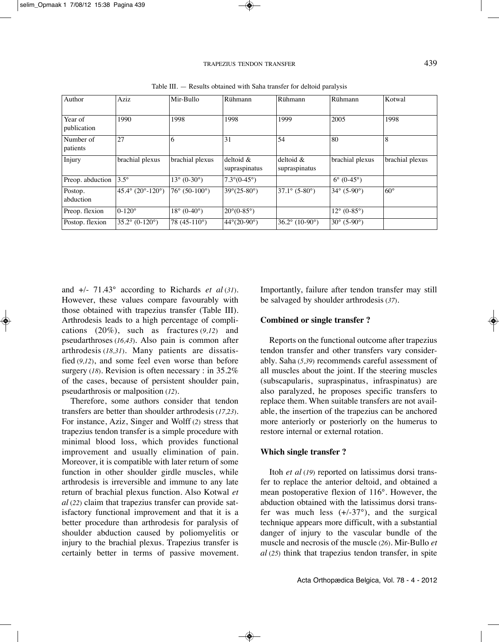| Author                 | Aziz                                          | Mir-Bullo                       | Rühmann                     | Rühmann                    | Rühmann                         | Kotwal          |
|------------------------|-----------------------------------------------|---------------------------------|-----------------------------|----------------------------|---------------------------------|-----------------|
| Year of<br>publication | 1990                                          | 1998                            | 1998                        | 1999                       | 2005                            | 1998            |
| Number of<br>patients  | 27                                            | 6                               | 31                          | 54                         | 80                              | 8               |
| Injury                 | brachial plexus                               | brachial plexus                 | $deloid$ &<br>supraspinatus | deltoid &<br>supraspinatus | brachial plexus                 | brachial plexus |
| Preop. abduction       | $3.5^{\circ}$                                 | $13^{\circ}$ (0-30 $^{\circ}$ ) | $7.3^{\circ}(0.45^{\circ})$ |                            | $6^{\circ}$ (0-45 $^{\circ}$ )  |                 |
| Postop.<br>abduction   | 45.4 $\degree$ (20 $\degree$ -120 $\degree$ ) | $76^{\circ}$ (50-100°)          | $39^{\circ}(25-80^{\circ})$ | $37.1^{\circ}$ (5-80°)     | $34^{\circ}$ (5-90°)            | $60^\circ$      |
| Preop. flexion         | $0-120^\circ$                                 | $18^{\circ}$ (0-40 $^{\circ}$ ) | $20^{\circ}$ (0-85°)        |                            | $12^{\circ}$ (0-85 $^{\circ}$ ) |                 |
| Postop. flexion        | $35.2^{\circ}$ (0-120°)                       | 78 $(45-110^{\circ})$           | $44^{\circ}(20-90^{\circ})$ | $36.2^{\circ}$ (10-90°)    | $30^{\circ}$ (5-90°)            |                 |

Table III. — Results obtained with Saha transfer for deltoid paralysis

and +/- 71.43° according to Richards *et al* (*31*). However, these values compare favourably with those obtained with trapezius transfer (Table III). Arthrodesis leads to a high percentage of complications (20%), such as fractures (*9,12*) and pseudarthroses (*16,43*). Also pain is common after arthrodesis (*18,31*). Many patients are dissatisfied (*9,12*), and some feel even worse than before surgery (*18*). Revision is often necessary : in 35.2% of the cases, because of persistent shoulder pain, pseudarthrosis or malposition (*12*).

Therefore, some authors consider that tendon transfers are better than shoulder arthrodesis (*17,23*). For instance, Aziz, Singer and Wolff (*2*) stress that trapezius tendon transfer is a simple procedure with minimal blood loss, which provides functional improvement and usually elimination of pain. Moreover, it is compatible with later return of some function in other shoulder girdle muscles, while arthrodesis is irreversible and immune to any late return of brachial plexus function. Also Kotwal *et al* (*22*) claim that trapezius transfer can provide satisfactory functional improvement and that it is a better procedure than arthrodesis for paralysis of shoulder abduction caused by poliomyelitis or injury to the brachial plexus. Trapezius transfer is certainly better in terms of passive movement. Importantly, failure after tendon transfer may still be salvaged by shoulder arthrodesis (*37*).

#### **Combined or single transfer ?**

Reports on the functional outcome after trapezius tendon transfer and other transfers vary considerably. Saha (*5,39*) recommends careful assessment of all muscles about the joint. If the steering muscles (subscapularis, supraspinatus, infraspinatus) are also paralyzed, he proposes specific transfers to replace them. When suitable transfers are not available, the insertion of the trapezius can be anchored more anteriorly or posteriorly on the humerus to restore internal or external rotation.

### **Which single transfer ?**

Itoh *et al* (19) reported on latissimus dorsi transfer to replace the anterior deltoid, and obtained a mean postoperative flexion of 116°. However, the abduction obtained with the latissimus dorsi transfer was much less  $(+/-37^{\circ})$ , and the surgical technique appears more difficult, with a substantial danger of injury to the vascular bundle of the muscle and necrosis of the muscle (*26*). Mir-Bullo *et al* (*25*) think that trapezius tendon transfer, in spite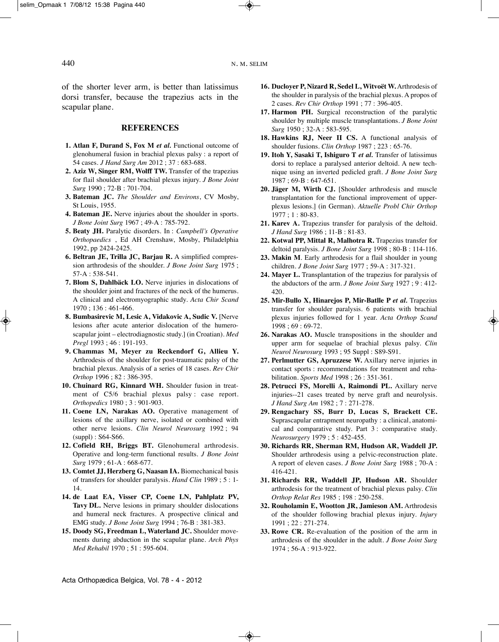of the shorter lever arm, is better than latissimus dorsi transfer, because the trapezius acts in the scapular plane.

#### **REFERENCES**

- **1. Atlan F, Durand S, Fox M** *et al.* Functional outcome of glenohumeral fusion in brachial plexus palsy : a report of 54 cases. *J Hand Surg Am* 2012 ; 37 : 683-688.
- **2. Aziz W, Singer RM, Wolff TW.** Transfer of the trapezius for flail shoulder after brachial plexus injury. *J Bone Joint Surg* 1990 ; 72-B : 701-704.
- **3. Bateman JC.** *The Shoulder and Environs*, CV Mosby, St louis, 1955.
- **4. Bateman JE.** Nerve injuries about the shoulder in sports. *J Bone Joint Surg* 1967 ; 49-A : 785-792.
- **5. Beaty JH.** Paralytic disorders. in : *Campbell's Operative Orthopaedics* , Ed AH Crenshaw, Mosby, Philadelphia 1992, pp 2424-2425.
- **6. Beltran JE, Trilla JC, Barjau R.** A simplified compression arthrodesis of the shoulder. *J Bone Joint Surg* 1975 ; 57-A : 538-541.
- **7. Blom S, Dahlbäck LO.** Nerve injuries in dislocations of the shoulder joint and fractures of the neck of the humerus. A clinical and electromyographic study. *Acta Chir Scand* 1970 ; 136 : 461-466.
- **8. Bumbasirevic M, Lesic A, Vidakovic A, Sudic V.** [Nerve lesions after acute anterior dislocation of the humeroscapular joint – electrodiagnostic study.] (in Croatian). *Med Pregl* 1993 ; 46 : 191-193.
- **9. Chammas M, Meyer zu Reckendorf G, Allieu Y.** Arthrodesis of the shoulder for post-traumatic palsy of the brachial plexus. Analysis of a series of 18 cases. *Rev Chir Orthop* 1996 ; 82 : 386-395.
- **10. Chuinard RG, Kinnard WH.** Shoulder fusion in treatment of C5/6 brachial plexus palsy : case report. *Orthopedics* 1980 ; 3 : 901-903.
- **11. Coene LN, Narakas AO.** Operative management of lesions of the axillary nerve, isolated or combined with other nerve lesions. *Clin Neurol Neurosurg* 1992 ; 94 (suppl) : S64-S66.
- **12. Cofield RH, Briggs BT.** Glenohumeral arthrodesis. Operative and long-term functional results. *J Bone Joint Surg* 1979 ; 61-A : 668-677.
- **13. Comtet JJ, Herzberg G, Naasan IA.** Biomechanical basis of transfers for shoulder paralysis. *Hand Clin* 1989 ; 5 : 1- 14.
- **14. de Laat EA, Visser CP, Coene LN, Pahlplatz PV, Tavy DL.** Nerve lesions in primary shoulder dislocations and humeral neck fractures. A prospective clinical and EMG study. *J Bone Joint Surg* 1994 ; 76-B : 381-383.
- **15. Doody SG, Freedman L, Waterland JC.** Shoulder movements during abduction in the scapular plane. *Arch Phys Med Rehabil* 1970 ; 51 : 595-604.
- **16. Ducloyer P, Nizard R, Sedel L, Witvoët W.** Arthrodesis of the shoulder in paralysis of the brachial plexus. A propos of 2 cases*. Rev Chir Orthop* 1991 ; 77 : 396-405.
- **17. Harmon PH.** Surgical reconstruction of the paralytic shoulder by multiple muscle transplantations. *J Bone Joint Surg* 1950 ; 32-A : 583-595.
- **18. Hawkins RJ, Neer II CS.** A functional analysis of shoulder fusions. *Clin Orthop* 1987 ; 223 : 65-76.
- **19. Itoh Y, Sasaki T, Ishiguro T** *et al.* Transfer of latissimus dorsi to replace a paralysed anterior deltoid. A new technique using an inverted pedicled graft. *J Bone Joint Surg* 1987 ; 69-B : 647-651.
- **20. Jäger M, Wirth CJ.** [Shoulder arthrodesis and muscle transplantation for the functional improvement of upperplexus lesions.] (in German). *Aktuelle Probl Chir Orthop* 1977 ; 1 : 80-83.
- **21. Karev A.** Trapezius transfer for paralysis of the deltoid. *J Hand Surg* 1986 ; 11-B : 81-83.
- **22. Kotwal PP, Mittal R, Malhotra R.** Trapezius transfer for deltoid paralysis*. J Bone Joint Surg* 1998 ; 80-B : 114-116.
- **23. Makin M**. Early arthrodesis for a flail shoulder in young children. *J Bone Joint Surg* 1977 ; 59-A : 317-321.
- **24. Mayer L.** Transplantation of the trapezius for paralysis of the abductors of the arm. *J Bone Joint Surg* 1927 ; 9 : 412- 420.
- **25. Mir-Bullo X, Hinarejos P, Mir-Batlle P** *et al.* Trapezius transfer for shoulder paralysis. 6 patients with brachial plexus injuries followed for 1 year. *Acta Orthop Scand* 1998 ; 69 : 69-72.
- **26. Narakas AO.** Muscle transpositions in the shoulder and upper arm for sequelae of brachial plexus palsy. *Clin Neurol Neurosurg* 1993 ; 95 Suppl : S89-S91.
- **27. Perlmutter GS, Apruzzese W.** Axillary nerve injuries in contact sports : recommendations for treatment and rehabilitation. *Sports Med* 1998 ; 26 : 351-361.
- **28. Petrucci FS, Morelli A, Raimondi PL.** Axillary nerve injuries--21 cases treated by nerve graft and neurolysis. *J Hand Surg Am* 1982 ; 7 : 271-278.
- **29. Rengachary SS, Burr D, Lucas S, Brackett CE.** Suprascapular entrapment neuropathy : a clinical, anatomical and comparative study. Part 3 : comparative study. *Neurosurgery* 1979 ; 5 : 452-455.
- **30. Richards RR, Sherman RM, Hudson AR, Waddell JP.** Shoulder arthrodesis using a pelvic-reconstruction plate. A report of eleven cases. *J Bone Joint Surg* 1988 ; 70-A : 416-421.
- **31. Richards RR, Waddell JP, Hudson AR.** Shoulder arthrodesis for the treatment of brachial plexus palsy. *Clin Orthop Relat Res* 1985 ; 198 : 250-258.
- **32. Rouholamin E, Wootton JR, Jamieson AM.** Arthrodesis of the shoulder following brachial plexus injury. *Injury* 1991 ; 22 : 271-274.
- **33. Rowe CR.** Re-evaluation of the position of the arm in arthrodesis of the shoulder in the adult. *J Bone Joint Surg* 1974 ; 56-A : 913-922.